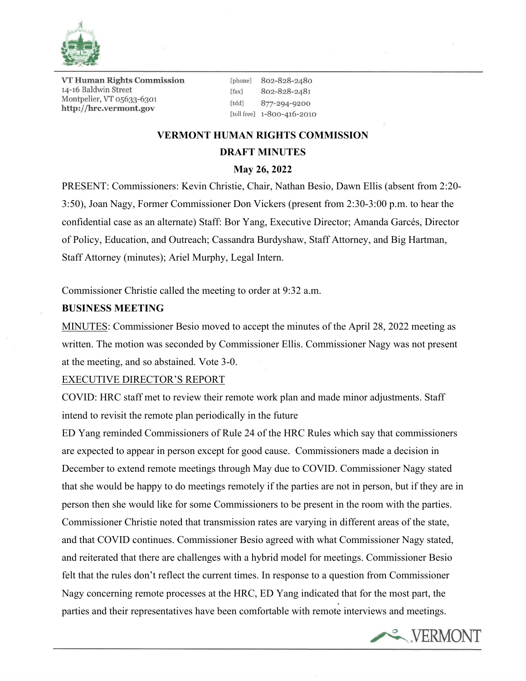

**VT Human Rights Commission** 14-16 Baldwin Street Montpelier, VT 05633-6301 http://hrc.vermont.gov

[phone] 802-828-2480 802-828-2481  $[$ fax $]$ [tdd] 877-294-9200 [toll free] 1-800-416-2010

# **VERMONT HUMAN RIGHTS COMMISSION DRAFT MINUTES**

# **May 26, 2022**

PRESENT: Commissioners: Kevin Christie, Chair, Nathan Besio, Dawn Ellis (absent from 2:20- 3:50), Joan Nagy, Former Commissioner Don Vickers (present from 2:30-3:00 p.m. to hear the confidential case as an alternate) Staff: Bor Yang, Executive Director; Amanda Garcés, Director of Policy, Education, and Outreach; Cassandra Burdyshaw, Staff Attorney, and Big Hartman, Staff Attorney (minutes); Ariel Murphy, Legal Intern.

Commissioner Christie called the meeting to order at 9:32 a.m.

#### **BUSINESS MEETING**

MINUTES: Commissioner Besio moved to accept the minutes of the April 28, 2022 meeting as written. The motion was seconded by Commissioner Ellis. Commissioner Nagy was not present at the meeting, and so abstained. Vote 3-0.

#### EXECUTIVE DIRECTOR'S REPORT

COVID: HRC staff met to review their remote work plan and made minor adjustments. Staff intend to revisit the remote plan periodically in the future

ED Yang reminded Commissioners of Rule 24 of the HRC Rules which say that commissioners are expected to appear in person except for good cause. Commissioners made a decision in December to extend remote meetings through May due to COVID. Commissioner Nagy stated that she would be happy to do meetings remotely if the parties are not in person, but if they are in person then she would like for some Commissioners to be present in the room with the parties. Commissioner Christie noted that transmission rates are varying in different areas of the state, and that COVID continues. Commissioner Besio agreed with what Commissioner Nagy stated, and reiterated that there are challenges with a hybrid model for meetings. Commissioner Besio felt that the rules don't reflect the current times. In response to a question from Commissioner Nagy concerning remote processes at the HRC, ED Yang indicated that for the most part, the parties and their representatives have been comfortable with remote interviews and meetings.

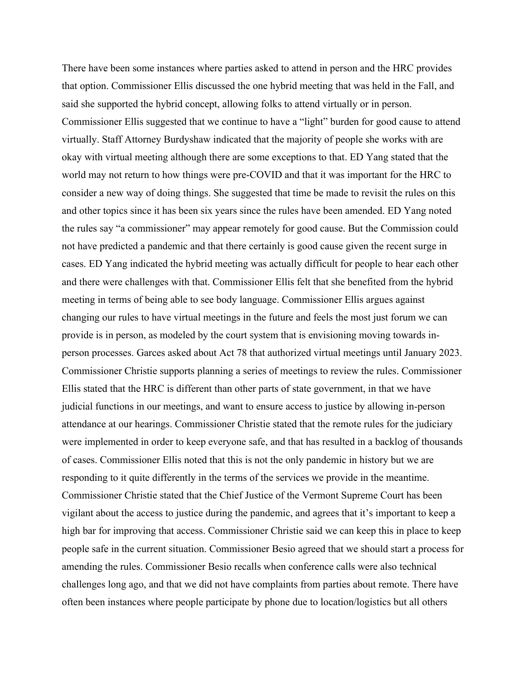There have been some instances where parties asked to attend in person and the HRC provides that option. Commissioner Ellis discussed the one hybrid meeting that was held in the Fall, and said she supported the hybrid concept, allowing folks to attend virtually or in person. Commissioner Ellis suggested that we continue to have a "light" burden for good cause to attend virtually. Staff Attorney Burdyshaw indicated that the majority of people she works with are okay with virtual meeting although there are some exceptions to that. ED Yang stated that the world may not return to how things were pre-COVID and that it was important for the HRC to consider a new way of doing things. She suggested that time be made to revisit the rules on this and other topics since it has been six years since the rules have been amended. ED Yang noted the rules say "a commissioner" may appear remotely for good cause. But the Commission could not have predicted a pandemic and that there certainly is good cause given the recent surge in cases. ED Yang indicated the hybrid meeting was actually difficult for people to hear each other and there were challenges with that. Commissioner Ellis felt that she benefited from the hybrid meeting in terms of being able to see body language. Commissioner Ellis argues against changing our rules to have virtual meetings in the future and feels the most just forum we can provide is in person, as modeled by the court system that is envisioning moving towards inperson processes. Garces asked about Act 78 that authorized virtual meetings until January 2023. Commissioner Christie supports planning a series of meetings to review the rules. Commissioner Ellis stated that the HRC is different than other parts of state government, in that we have judicial functions in our meetings, and want to ensure access to justice by allowing in-person attendance at our hearings. Commissioner Christie stated that the remote rules for the judiciary were implemented in order to keep everyone safe, and that has resulted in a backlog of thousands of cases. Commissioner Ellis noted that this is not the only pandemic in history but we are responding to it quite differently in the terms of the services we provide in the meantime. Commissioner Christie stated that the Chief Justice of the Vermont Supreme Court has been vigilant about the access to justice during the pandemic, and agrees that it's important to keep a high bar for improving that access. Commissioner Christie said we can keep this in place to keep people safe in the current situation. Commissioner Besio agreed that we should start a process for amending the rules. Commissioner Besio recalls when conference calls were also technical challenges long ago, and that we did not have complaints from parties about remote. There have often been instances where people participate by phone due to location/logistics but all others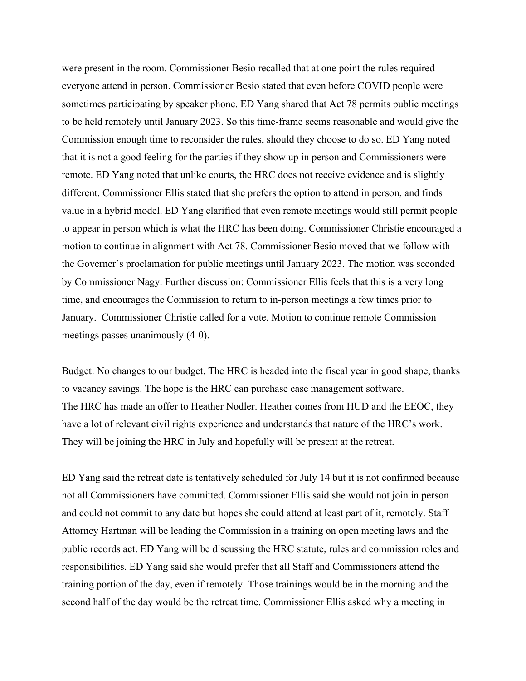were present in the room. Commissioner Besio recalled that at one point the rules required everyone attend in person. Commissioner Besio stated that even before COVID people were sometimes participating by speaker phone. ED Yang shared that Act 78 permits public meetings to be held remotely until January 2023. So this time-frame seems reasonable and would give the Commission enough time to reconsider the rules, should they choose to do so. ED Yang noted that it is not a good feeling for the parties if they show up in person and Commissioners were remote. ED Yang noted that unlike courts, the HRC does not receive evidence and is slightly different. Commissioner Ellis stated that she prefers the option to attend in person, and finds value in a hybrid model. ED Yang clarified that even remote meetings would still permit people to appear in person which is what the HRC has been doing. Commissioner Christie encouraged a motion to continue in alignment with Act 78. Commissioner Besio moved that we follow with the Governer's proclamation for public meetings until January 2023. The motion was seconded by Commissioner Nagy. Further discussion: Commissioner Ellis feels that this is a very long time, and encourages the Commission to return to in-person meetings a few times prior to January. Commissioner Christie called for a vote. Motion to continue remote Commission meetings passes unanimously (4-0).

Budget: No changes to our budget. The HRC is headed into the fiscal year in good shape, thanks to vacancy savings. The hope is the HRC can purchase case management software. The HRC has made an offer to Heather Nodler. Heather comes from HUD and the EEOC, they have a lot of relevant civil rights experience and understands that nature of the HRC's work. They will be joining the HRC in July and hopefully will be present at the retreat.

ED Yang said the retreat date is tentatively scheduled for July 14 but it is not confirmed because not all Commissioners have committed. Commissioner Ellis said she would not join in person and could not commit to any date but hopes she could attend at least part of it, remotely. Staff Attorney Hartman will be leading the Commission in a training on open meeting laws and the public records act. ED Yang will be discussing the HRC statute, rules and commission roles and responsibilities. ED Yang said she would prefer that all Staff and Commissioners attend the training portion of the day, even if remotely. Those trainings would be in the morning and the second half of the day would be the retreat time. Commissioner Ellis asked why a meeting in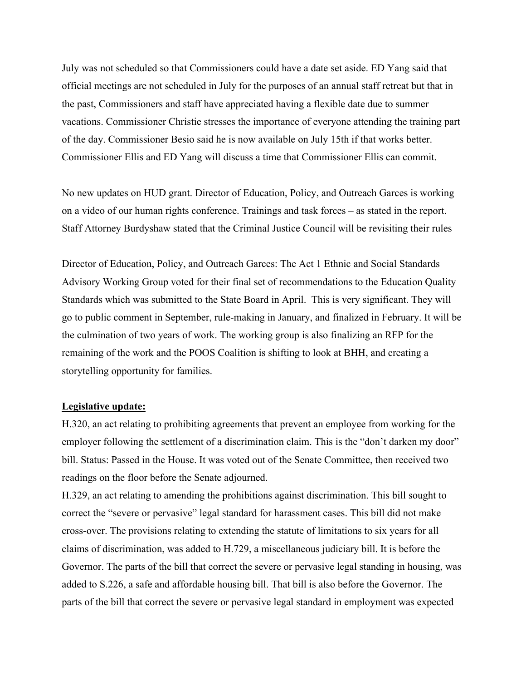July was not scheduled so that Commissioners could have a date set aside. ED Yang said that official meetings are not scheduled in July for the purposes of an annual staff retreat but that in the past, Commissioners and staff have appreciated having a flexible date due to summer vacations. Commissioner Christie stresses the importance of everyone attending the training part of the day. Commissioner Besio said he is now available on July 15th if that works better. Commissioner Ellis and ED Yang will discuss a time that Commissioner Ellis can commit.

No new updates on HUD grant. Director of Education, Policy, and Outreach Garces is working on a video of our human rights conference. Trainings and task forces – as stated in the report. Staff Attorney Burdyshaw stated that the Criminal Justice Council will be revisiting their rules

Director of Education, Policy, and Outreach Garces: The Act 1 Ethnic and Social Standards Advisory Working Group voted for their final set of recommendations to the Education Quality Standards which was submitted to the State Board in April. This is very significant. They will go to public comment in September, rule-making in January, and finalized in February. It will be the culmination of two years of work. The working group is also finalizing an RFP for the remaining of the work and the POOS Coalition is shifting to look at BHH, and creating a storytelling opportunity for families.

#### **Legislative update:**

H.320, an act relating to prohibiting agreements that prevent an employee from working for the employer following the settlement of a discrimination claim. This is the "don't darken my door" bill. Status: Passed in the House. It was voted out of the Senate Committee, then received two readings on the floor before the Senate adjourned.

H.329, an act relating to amending the prohibitions against discrimination. This bill sought to correct the "severe or pervasive" legal standard for harassment cases. This bill did not make cross-over. The provisions relating to extending the statute of limitations to six years for all claims of discrimination, was added to H.729, a miscellaneous judiciary bill. It is before the Governor. The parts of the bill that correct the severe or pervasive legal standing in housing, was added to S.226, a safe and affordable housing bill. That bill is also before the Governor. The parts of the bill that correct the severe or pervasive legal standard in employment was expected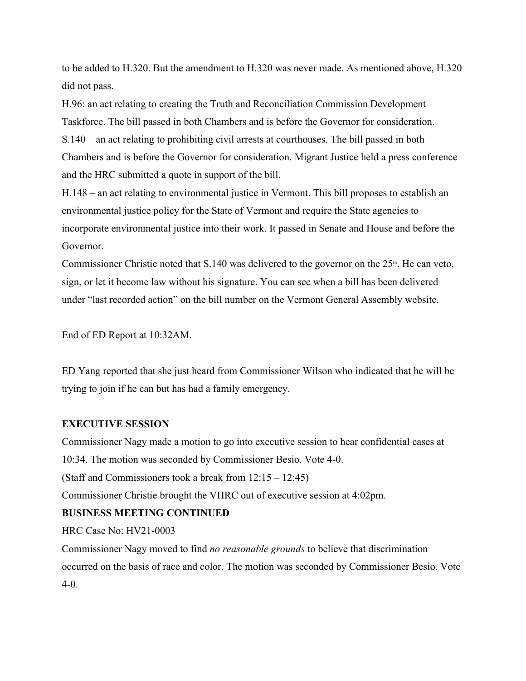to be added to H.320. But the amendment to H.320 was never made. As mentioned above, H.320 did not pass.

H.96: an act relating to creating the Truth and Reconciliation Commission Development Taskforce. The bill passed in both Chambers and is before the Governor for consideration. S.140 – an act relating to prohibiting civil arrests at courthouses. The bill passed in both Chambers and is before the Governor for consideration. Migrant Justice held a press conference and the HRC submitted a quote in support of the bill.

H.148 – an act relating to environmental justice in Vermont. This bill proposes to establish an environmental justice policy for the State of Vermont and require the State agencies to incorporate environmental justice into their work. It passed in Senate and House and before the Governor.

Commissioner Christie noted that S.140 was delivered to the governor on the 25<sup>th</sup>. He can veto, sign, or let it become law without his signature. You can see when a bill has been delivered under "last recorded action" on the bill number on the Vermont General Assembly website.

End of ED Report at 10:32AM.

ED Yang reported that she just heard from Commissioner Wilson who indicated that he will be trying to join if he can but has had a family emergency.

# **EXECUTIVE SESSION**

Commissioner Nagy made a motion to go into executive session to hear confidential cases at

10:34. The motion was seconded by Commissioner Besio. Vote 4-0.

(Staff and Commissioners took a break from 12:15 – 12:45)

Commissioner Christie brought the VHRC out of executive session at 4:02pm.

# **BUSINESS MEETING CONTINUED**

HRC Case No: HV21-0003

Commissioner Nagy moved to find *no reasonable grounds* to believe that discrimination occurred on the basis of race and color. The motion was seconded by Commissioner Besio. Vote  $4-0.$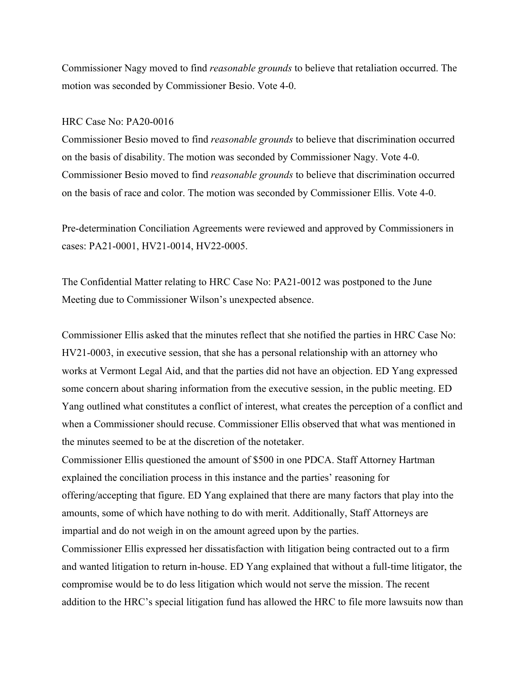Commissioner Nagy moved to find *reasonable grounds* to believe that retaliation occurred. The motion was seconded by Commissioner Besio. Vote 4-0.

#### HRC Case No: PA20-0016

Commissioner Besio moved to find *reasonable grounds* to believe that discrimination occurred on the basis of disability. The motion was seconded by Commissioner Nagy. Vote 4-0. Commissioner Besio moved to find *reasonable grounds* to believe that discrimination occurred on the basis of race and color. The motion was seconded by Commissioner Ellis. Vote 4-0.

Pre-determination Conciliation Agreements were reviewed and approved by Commissioners in cases: PA21-0001, HV21-0014, HV22-0005.

The Confidential Matter relating to HRC Case No: PA21-0012 was postponed to the June Meeting due to Commissioner Wilson's unexpected absence.

Commissioner Ellis asked that the minutes reflect that she notified the parties in HRC Case No: HV21-0003, in executive session, that she has a personal relationship with an attorney who works at Vermont Legal Aid, and that the parties did not have an objection. ED Yang expressed some concern about sharing information from the executive session, in the public meeting. ED Yang outlined what constitutes a conflict of interest, what creates the perception of a conflict and when a Commissioner should recuse. Commissioner Ellis observed that what was mentioned in the minutes seemed to be at the discretion of the notetaker.

Commissioner Ellis questioned the amount of \$500 in one PDCA. Staff Attorney Hartman explained the conciliation process in this instance and the parties' reasoning for offering/accepting that figure. ED Yang explained that there are many factors that play into the amounts, some of which have nothing to do with merit. Additionally, Staff Attorneys are impartial and do not weigh in on the amount agreed upon by the parties.

Commissioner Ellis expressed her dissatisfaction with litigation being contracted out to a firm and wanted litigation to return in-house. ED Yang explained that without a full-time litigator, the compromise would be to do less litigation which would not serve the mission. The recent addition to the HRC's special litigation fund has allowed the HRC to file more lawsuits now than